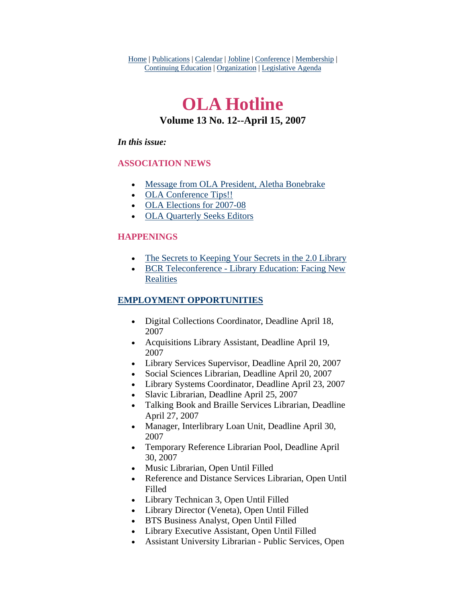Home | Publications | Calendar | Jobline | Conference | Membership | Continuing Education | Organization | Legislative Agenda

# **OLA Hotline Volume 13 No. 12--April 15, 2007**

### *In this issue:*

## **ASSOCIATION NEWS**

- [Message from OLA President, Aletha Bonebrake](#page-1-0)
- [OLA Conference Tips!!](#page-2-0)
- [OLA Elections for 2007-08](#page-2-0)
- [OLA Quarterly Seeks Editors](#page-3-0)

### **HAPPENINGS**

- [The Secrets to Keeping Your Secrets in the 2.0 Library](#page-4-0)
- [BCR Teleconference Library Education: Facing New](#page-5-0)  **[Realities](#page-5-0)**

## **EMPLOYMENT OPPORTUNITIES**

- Digital Collections Coordinator, Deadline April 18, 2007
- Acquisitions Library Assistant, Deadline April 19, 2007
- Library Services Supervisor, Deadline April 20, 2007
- Social Sciences Librarian, Deadline April 20, 2007
- Library Systems Coordinator, Deadline April 23, 2007
- Slavic Librarian, Deadline April 25, 2007
- Talking Book and Braille Services Librarian, Deadline April 27, 2007
- Manager, Interlibrary Loan Unit, Deadline April 30, 2007
- Temporary Reference Librarian Pool, Deadline April 30, 2007
- Music Librarian, Open Until Filled
- Reference and Distance Services Librarian, Open Until Filled
- Library Technican 3, Open Until Filled
- Library Director (Veneta), Open Until Filled
- BTS Business Analyst, Open Until Filled
- Library Executive Assistant, Open Until Filled
- Assistant University Librarian Public Services, Open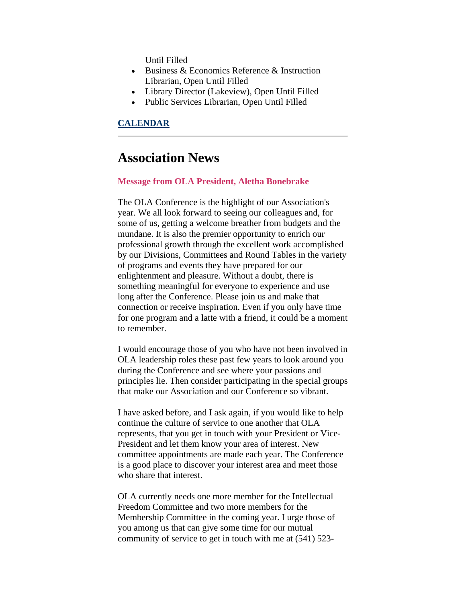Until Filled

- <span id="page-1-0"></span>• Business & Economics Reference & Instruction Librarian, Open Until Filled
- Library Director (Lakeview), Open Until Filled
- Public Services Librarian, Open Until Filled

#### **CALENDAR**

# **Association News**

#### **Message from OLA President, Aletha Bonebrake**

The OLA Conference is the highlight of our Association's year. We all look forward to seeing our colleagues and, for some of us, getting a welcome breather from budgets and the mundane. It is also the premier opportunity to enrich our professional growth through the excellent work accomplished by our Divisions, Committees and Round Tables in the variety of programs and events they have prepared for our enlightenment and pleasure. Without a doubt, there is something meaningful for everyone to experience and use long after the Conference. Please join us and make that connection or receive inspiration. Even if you only have time for one program and a latte with a friend, it could be a moment to remember.

I would encourage those of you who have not been involved in OLA leadership roles these past few years to look around you during the Conference and see where your passions and principles lie. Then consider participating in the special groups that make our Association and our Conference so vibrant.

I have asked before, and I ask again, if you would like to help continue the culture of service to one another that OLA represents, that you get in touch with your President or Vice-President and let them know your area of interest. New committee appointments are made each year. The Conference is a good place to discover your interest area and meet those who share that interest.

OLA currently needs one more member for the Intellectual Freedom Committee and two more members for the Membership Committee in the coming year. I urge those of you among us that can give some time for our mutual community of service to get in touch with me at (541) 523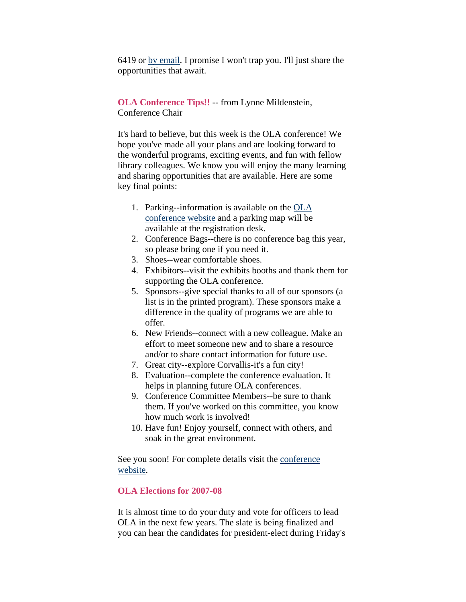<span id="page-2-0"></span>6419 or [by email](mailto:alethab@oregontrail.net). I promise I won't trap you. I'll just share the opportunities that await.

**OLA Conference Tips!!** -- from Lynne Mildenstein, Conference Chair

It's hard to believe, but this week is the OLA conference! We hope you've made all your plans and are looking forward to the wonderful programs, exciting events, and fun with fellow library colleagues. We know you will enjoy the many learning and sharing opportunities that are available. Here are some key final points:

- 1. Parking--information is available on the [OLA](http://olaweb.org/conference/index.html)  [conference website](http://olaweb.org/conference/index.html) and a parking map will be available at the registration desk.
- 2. Conference Bags--there is no conference bag this year, so please bring one if you need it.
- 3. Shoes--wear comfortable shoes.
- 4. Exhibitors--visit the exhibits booths and thank them for supporting the OLA conference.
- 5. Sponsors--give special thanks to all of our sponsors (a list is in the printed program). These sponsors make a difference in the quality of programs we are able to offer.
- 6. New Friends--connect with a new colleague. Make an effort to meet someone new and to share a resource and/or to share contact information for future use.
- 7. Great city--explore Corvallis-it's a fun city!
- 8. Evaluation--complete the conference evaluation. It helps in planning future OLA conferences.
- 9. Conference Committee Members--be sure to thank them. If you've worked on this committee, you know how much work is involved!
- 10. Have fun! Enjoy yourself, connect with others, and soak in the great environment.

See you soon! For complete details visit the conference [website.](http://olaweb.org/conference/index.html)

#### **OLA Elections for 2007-08**

It is almost time to do your duty and vote for officers to lead OLA in the next few years. The slate is being finalized and you can hear the candidates for president-elect during Friday's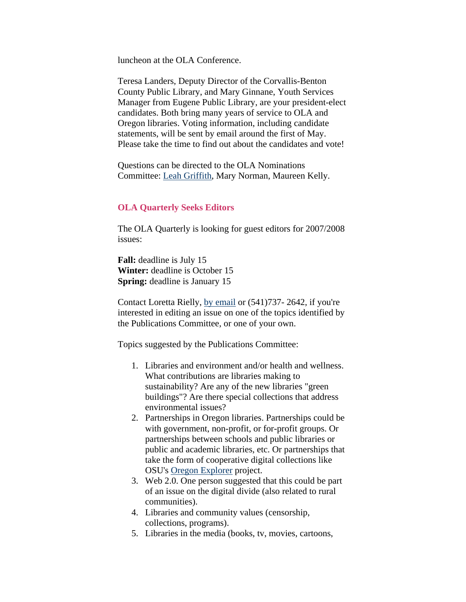<span id="page-3-0"></span>luncheon at the OLA Conference.

Teresa Landers, Deputy Director of the Corvallis-Benton County Public Library, and Mary Ginnane, Youth Services Manager from Eugene Public Library, are your president-elect candidates. Both bring many years of service to OLA and Oregon libraries. Voting information, including candidate statements, will be sent by email around the first of May. Please take the time to find out about the candidates and vote!

Questions can be directed to the OLA Nominations Committee: [Leah Griffith](mailto:leahg@ccrls.org), Mary Norman, Maureen Kelly.

#### **OLA Quarterly Seeks Editors**

The OLA Quarterly is looking for guest editors for 2007/2008 issues:

**Fall:** deadline is July 15 **Winter:** deadline is October 15 **Spring:** deadline is January 15

Contact Loretta Rielly, [by email](mailto:loretta.rielly@oregonstate.edu) or (541)737- 2642, if you're interested in editing an issue on one of the topics identified by the Publications Committee, or one of your own.

Topics suggested by the Publications Committee:

- 1. Libraries and environment and/or health and wellness. What contributions are libraries making to sustainability? Are any of the new libraries "green buildings"? Are there special collections that address environmental issues?
- 2. Partnerships in Oregon libraries. Partnerships could be with government, non-profit, or for-profit groups. Or partnerships between schools and public libraries or public and academic libraries, etc. Or partnerships that take the form of cooperative digital collections like OSU's [Oregon Explorer](http://willametteexplorer.info/) project.
- 3. Web 2.0. One person suggested that this could be part of an issue on the digital divide (also related to rural communities).
- 4. Libraries and community values (censorship, collections, programs).
- 5. Libraries in the media (books, tv, movies, cartoons,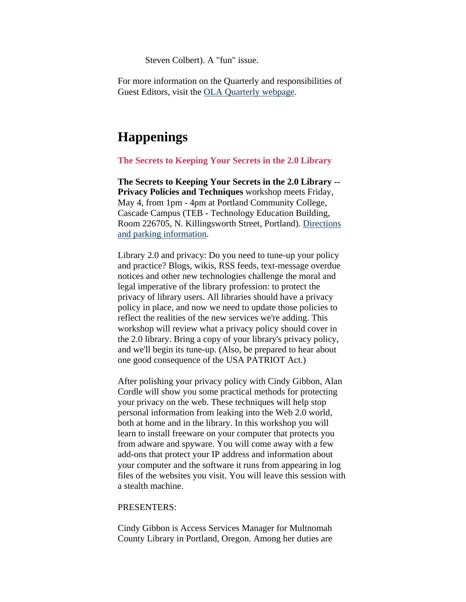Steven Colbert). A "fun" issue.

<span id="page-4-0"></span>For more information on the Quarterly and responsibilities of Guest Editors, visit the [OLA Quarterly webpage](http://www.olaweb.org/quarterly/).

# **Happenings**

**The Secrets to Keeping Your Secrets in the 2.0 Library**

**The Secrets to Keeping Your Secrets in the 2.0 Library -- Privacy Policies and Techniques** workshop meets Friday, May 4, from 1pm - 4pm at Portland Community College, Cascade Campus (TEB - Technology Education Building, Room 226705, N. Killingsworth Street, Portland). [Directions](http://www.pcc.edu/about/locations/cascade/)  [and parking information](http://www.pcc.edu/about/locations/cascade/).

Library 2.0 and privacy: Do you need to tune-up your policy and practice? Blogs, wikis, RSS feeds, text-message overdue notices and other new technologies challenge the moral and legal imperative of the library profession: to protect the privacy of library users. All libraries should have a privacy policy in place, and now we need to update those policies to reflect the realities of the new services we're adding. This workshop will review what a privacy policy should cover in the 2.0 library. Bring a copy of your library's privacy policy, and we'll begin its tune-up. (Also, be prepared to hear about one good consequence of the USA PATRIOT Act.)

After polishing your privacy policy with Cindy Gibbon, Alan Cordle will show you some practical methods for protecting your privacy on the web. These techniques will help stop personal information from leaking into the Web 2.0 world, both at home and in the library. In this workshop you will learn to install freeware on your computer that protects you from adware and spyware. You will come away with a few add-ons that protect your IP address and information about your computer and the software it runs from appearing in log files of the websites you visit. You will leave this session with a stealth machine.

#### PRESENTERS:

Cindy Gibbon is Access Services Manager for Multnomah County Library in Portland, Oregon. Among her duties are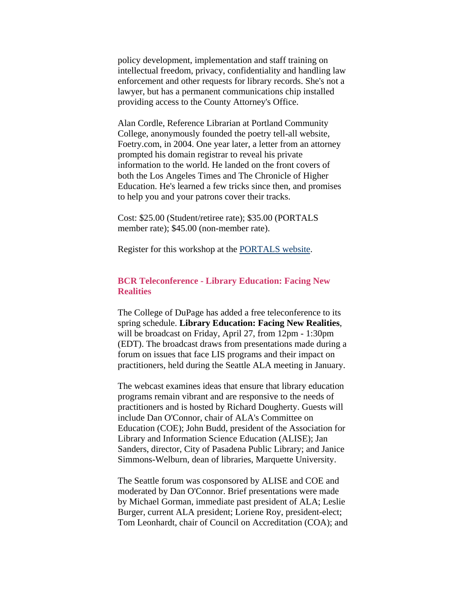<span id="page-5-0"></span>policy development, implementation and staff training on intellectual freedom, privacy, confidentiality and handling law enforcement and other requests for library records. She's not a lawyer, but has a permanent communications chip installed providing access to the County Attorney's Office.

Alan Cordle, Reference Librarian at Portland Community College, anonymously founded the poetry tell-all website, Foetry.com, in 2004. One year later, a letter from an attorney prompted his domain registrar to reveal his private information to the world. He landed on the front covers of both the Los Angeles Times and The Chronicle of Higher Education. He's learned a few tricks since then, and promises to help you and your patrons cover their tracks.

Cost: \$25.00 (Student/retiree rate); \$35.00 (PORTALS member rate); \$45.00 (non-member rate).

Register for this workshop at the [PORTALS website.](http://www.portals.org/)

## **BCR Teleconference - Library Education: Facing New Realities**

The College of DuPage has added a free teleconference to its spring schedule. **Library Education: Facing New Realities**, will be broadcast on Friday, April 27, from 12pm - 1:30pm (EDT). The broadcast draws from presentations made during a forum on issues that face LIS programs and their impact on practitioners, held during the Seattle ALA meeting in January.

The webcast examines ideas that ensure that library education programs remain vibrant and are responsive to the needs of practitioners and is hosted by Richard Dougherty. Guests will include Dan O'Connor, chair of ALA's Committee on Education (COE); John Budd, president of the Association for Library and Information Science Education (ALISE); Jan Sanders, director, City of Pasadena Public Library; and Janice Simmons-Welburn, dean of libraries, Marquette University.

The Seattle forum was cosponsored by ALISE and COE and moderated by Dan O'Connor. Brief presentations were made by Michael Gorman, immediate past president of ALA; Leslie Burger, current ALA president; Loriene Roy, president-elect; Tom Leonhardt, chair of Council on Accreditation (COA); and